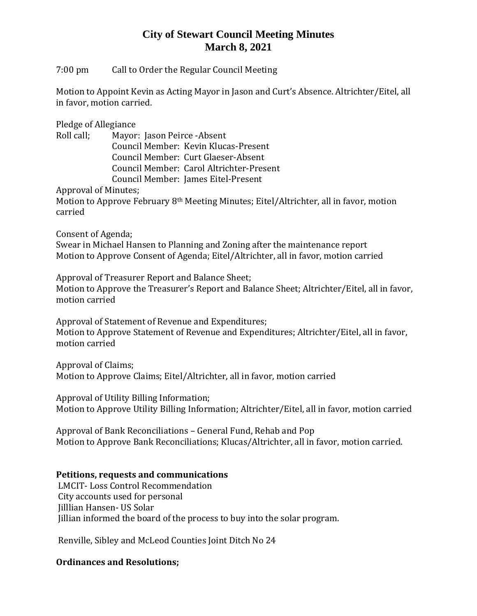## **City of Stewart Council Meeting Minutes March 8, 2021**

7:00 pm Call to Order the Regular Council Meeting

Motion to Appoint Kevin as Acting Mayor in Jason and Curt's Absence. Altrichter/Eitel, all in favor, motion carried.

Pledge of Allegiance

| Roll call; | Mayor: Jason Peirce - Absent             |
|------------|------------------------------------------|
|            | Council Member: Kevin Klucas-Present     |
|            | Council Member: Curt Glaeser-Absent      |
|            | Council Member: Carol Altrichter-Present |
|            | Council Member: James Eitel-Present      |
|            |                                          |

Approval of Minutes;

Motion to Approve February 8th Meeting Minutes; Eitel/Altrichter, all in favor, motion carried

Consent of Agenda;

Swear in Michael Hansen to Planning and Zoning after the maintenance report Motion to Approve Consent of Agenda; Eitel/Altrichter, all in favor, motion carried

Approval of Treasurer Report and Balance Sheet;

Motion to Approve the Treasurer's Report and Balance Sheet; Altrichter/Eitel, all in favor, motion carried

Approval of Statement of Revenue and Expenditures; Motion to Approve Statement of Revenue and Expenditures; Altrichter/Eitel, all in favor, motion carried

Approval of Claims; Motion to Approve Claims; Eitel/Altrichter, all in favor, motion carried

Approval of Utility Billing Information; Motion to Approve Utility Billing Information; Altrichter/Eitel, all in favor, motion carried

Approval of Bank Reconciliations – General Fund, Rehab and Pop Motion to Approve Bank Reconciliations; Klucas/Altrichter, all in favor, motion carried.

#### **Petitions, requests and communications**

LMCIT- Loss Control Recommendation City accounts used for personal Jilllian Hansen- US Solar Jillian informed the board of the process to buy into the solar program.

Renville, Sibley and McLeod Counties Joint Ditch No 24

#### **Ordinances and Resolutions;**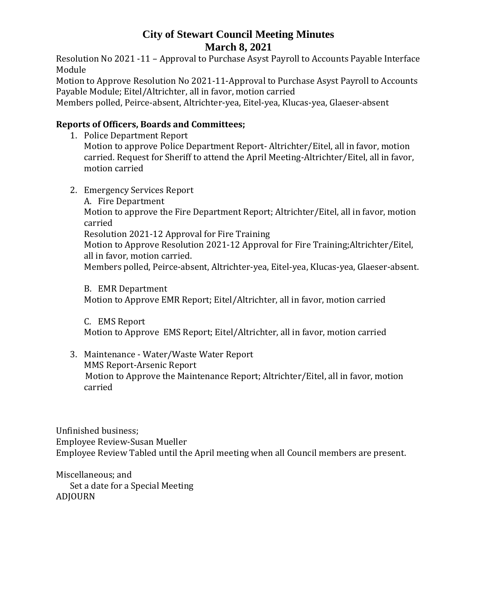## **City of Stewart Council Meeting Minutes March 8, 2021**

Resolution No 2021 -11 – Approval to Purchase Asyst Payroll to Accounts Payable Interface Module

Motion to Approve Resolution No 2021-11-Approval to Purchase Asyst Payroll to Accounts Payable Module; Eitel/Altrichter, all in favor, motion carried

Members polled, Peirce-absent, Altrichter-yea, Eitel-yea, Klucas-yea, Glaeser-absent

### **Reports of Officers, Boards and Committees;**

- 1. Police Department Report Motion to approve Police Department Report- Altrichter/Eitel, all in favor, motion carried. Request for Sheriff to attend the April Meeting-Altrichter/Eitel, all in favor, motion carried
- 2. Emergency Services Report A. Fire Department Motion to approve the Fire Department Report; Altrichter/Eitel, all in favor, motion carried Resolution 2021-12 Approval for Fire Training Motion to Approve Resolution 2021-12 Approval for Fire Training;Altrichter/Eitel, all in favor, motion carried. Members polled, Peirce-absent, Altrichter-yea, Eitel-yea, Klucas-yea, Glaeser-absent.

B. EMR Department Motion to Approve EMR Report; Eitel/Altrichter, all in favor, motion carried

C. EMS Report Motion to Approve EMS Report; Eitel/Altrichter, all in favor, motion carried

3. Maintenance - Water/Waste Water Report MMS Report-Arsenic Report Motion to Approve the Maintenance Report; Altrichter/Eitel, all in favor, motion carried

Unfinished business; Employee Review-Susan Mueller Employee Review Tabled until the April meeting when all Council members are present.

Miscellaneous; and Set a date for a Special Meeting ADJOURN